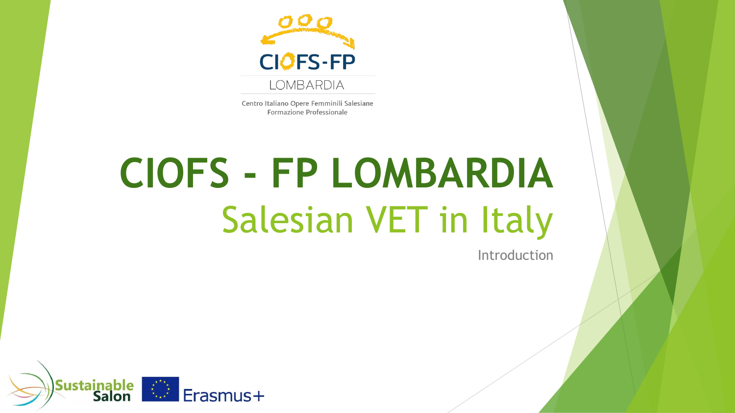

Centro Italiano Opere Femminili Salesiane Formazione Professionale

# **CIOFS - FP LOMBARDIA** Salesian VET in Italy

Introduction

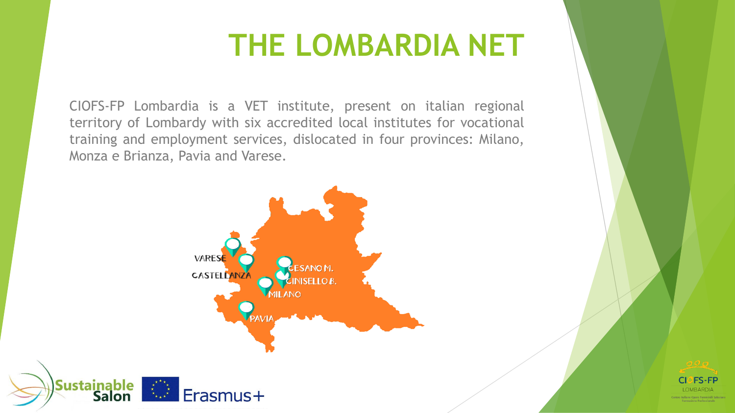### **THE LOMBARDIA NET**

CIOFS-FP Lombardia is a VET institute, present on italian regional territory of Lombardy with six accredited local institutes for vocational training and employment services, dislocated in four provinces: Milano, Monza e Brianza, Pavia and Varese.





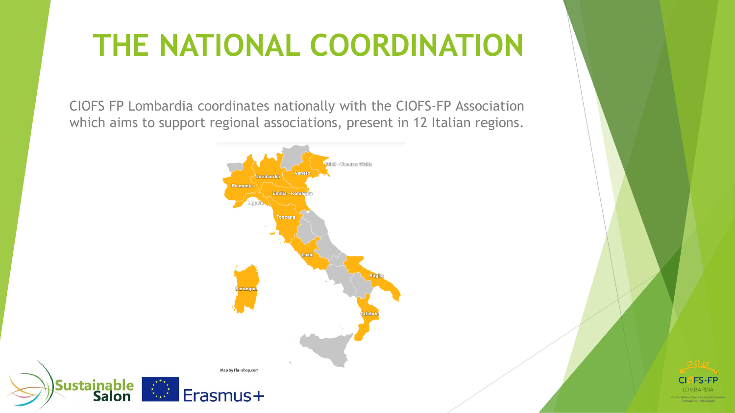# **THE NATIONAL COORDINATION**

CIOFS FP Lombardia coordinates nationally with the CIOFS-FP Association which aims to support regional associations, present in 12 Italian regions.



**Sustainable** 

**Salon** 

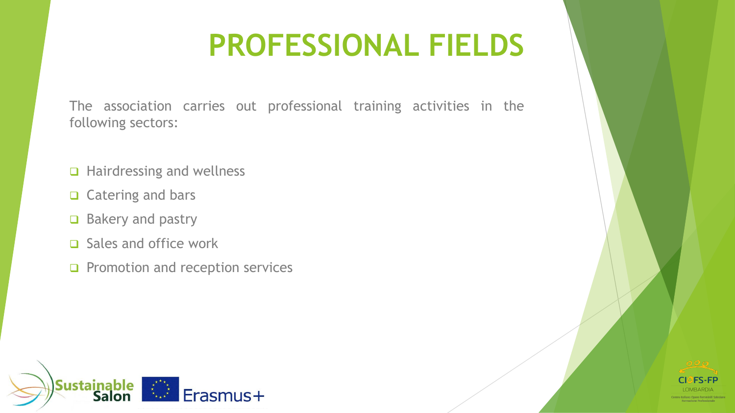## **PROFESSIONAL FIELDS**

The association carries out professional training activities in the following sectors:

- ❑ Hairdressing and wellness
- ❑ Catering and bars
- ❑ Bakery and pastry
- ❑ Sales and office work
- ❑ Promotion and reception services



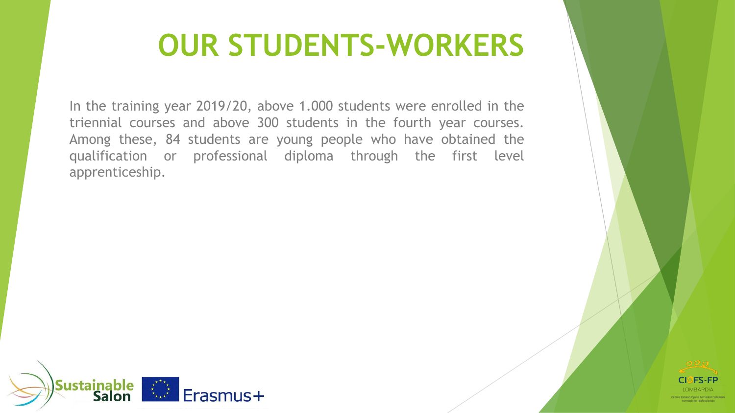### **OUR STUDENTS-WORKERS**

In the training year 2019/20, above 1.000 students were enrolled in the triennial courses and above 300 students in the fourth year courses. Among these, 84 students are young people who have obtained the qualification or professional diploma through the first level apprenticeship.



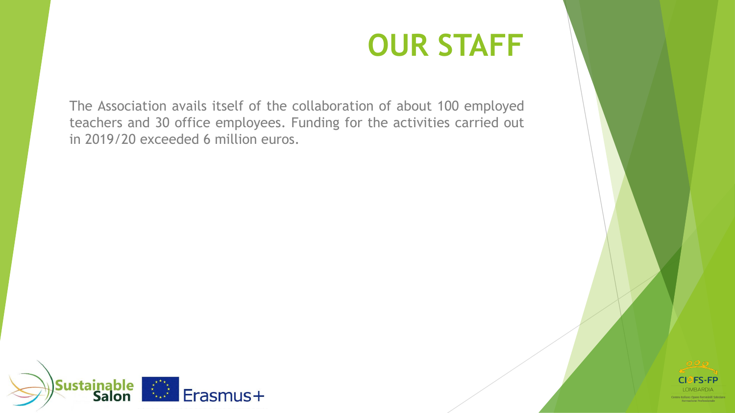### **OUR STAFF**

The Association avails itself of the collaboration of about 100 employed teachers and 30 office employees. Funding for the activities carried out in 2019/20 exceeded 6 million euros.



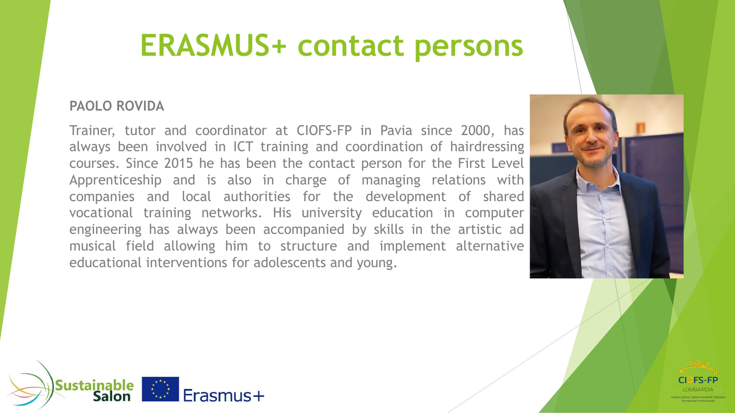#### **ERASMUS+ contact persons**

#### **PAOLO ROVIDA**

Trainer, tutor and coordinator at CIOFS-FP in Pavia since 2000, has always been involved in ICT training and coordination of hairdressing courses. Since 2015 he has been the contact person for the First Level Apprenticeship and is also in charge of managing relations with companies and local authorities for the development of shared vocational training networks. His university education in computer engineering has always been accompanied by skills in the artistic ad musical field allowing him to structure and implement alternative educational interventions for adolescents and young.



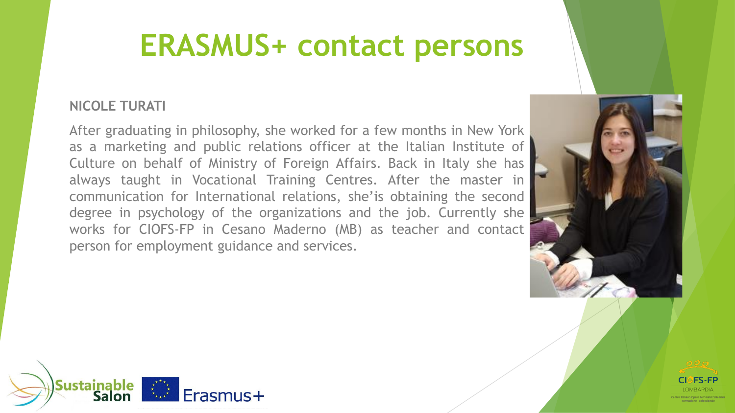#### **ERASMUS+ contact persons**

#### **NICOLE TURATI**

After graduating in philosophy, she worked for a few months in New York as a marketing and public relations officer at the Italian Institute of Culture on behalf of Ministry of Foreign Affairs. Back in Italy she has always taught in Vocational Training Centres. After the master in communication for International relations, she'is obtaining the second degree in psychology of the organizations and the job. Currently she works for CIOFS-FP in Cesano Maderno (MB) as teacher and contact person for employment guidance and services.